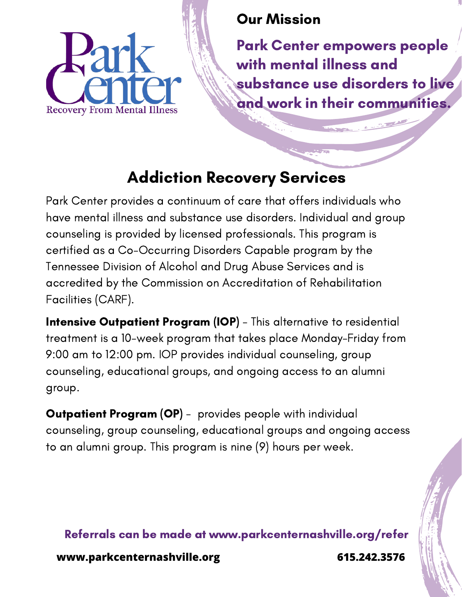

### Our Mission

Park Center empowers people with mental illness and substance use disorders to live and work in their communities.

# Addiction Recovery Services

Park Center provides a continuum of care that offers individuals who have mental illness and substance use disorders. Individual and group counseling is provided by licensed professionals. This program is certified as a Co-Occurring Disorders Capable program by the Tennessee Division of Alcohol and Drug Abuse Services and is accredited by the Commission on Accreditation of Rehabilitation Facilities (CARF).

**Intensive Outpatient Program (IOP)** - This alternative to residential treatment is a 10-week program that takes place Monday-Friday from 9:00 am to 12:00 pm. IOP provides individual counseling, group counseling, educational groups, and ongoing access to an alumni group.

**Outpatient Program (OP)** - provides people with individual counseling, group counseling, educational groups and ongoing access to an alumni group. This program is nine (9) hours per week.

Referrals can be made at www.parkcenternashville.org/refer

**www.parkcenternashville.org 615.242.3576**